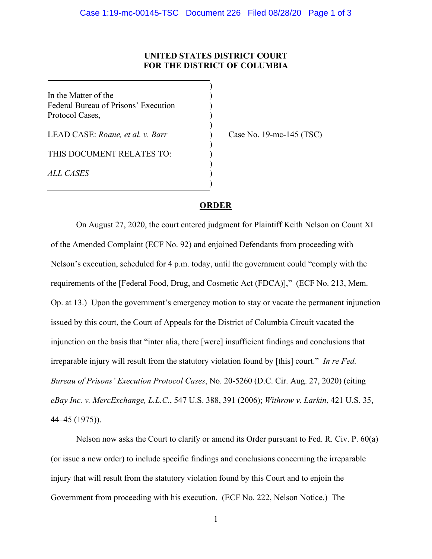## **UNITED STATES DISTRICT COURT FOR THE DISTRICT OF COLUMBIA**

)

)

)

)

)

In the Matter of the  $($ Federal Bureau of Prisons' Execution ) Protocol Cases, )

LEAD CASE: *Roane, et al. v. Barr* ) Case No. 19-mc-145 (TSC)

THIS DOCUMENT RELATES TO:

*ALL CASES* )

## **ORDER**

On August 27, 2020, the court entered judgment for Plaintiff Keith Nelson on Count XI of the Amended Complaint (ECF No. 92) and enjoined Defendants from proceeding with Nelson's execution, scheduled for 4 p.m. today, until the government could "comply with the requirements of the [Federal Food, Drug, and Cosmetic Act (FDCA)]," (ECF No. 213, Mem. Op. at 13.) Upon the government's emergency motion to stay or vacate the permanent injunction issued by this court, the Court of Appeals for the District of Columbia Circuit vacated the injunction on the basis that "inter alia, there [were] insufficient findings and conclusions that irreparable injury will result from the statutory violation found by [this] court." *In re Fed. Bureau of Prisons' Execution Protocol Cases*, No. 20-5260 (D.C. Cir. Aug. 27, 2020) (citing *eBay Inc. v. MercExchange, L.L.C.*, 547 U.S. 388, 391 (2006); *Withrow v. Larkin*, 421 U.S. 35, 44–45 (1975)).

Nelson now asks the Court to clarify or amend its Order pursuant to Fed. R. Civ. P. 60(a) (or issue a new order) to include specific findings and conclusions concerning the irreparable injury that will result from the statutory violation found by this Court and to enjoin the Government from proceeding with his execution. (ECF No. 222, Nelson Notice.) The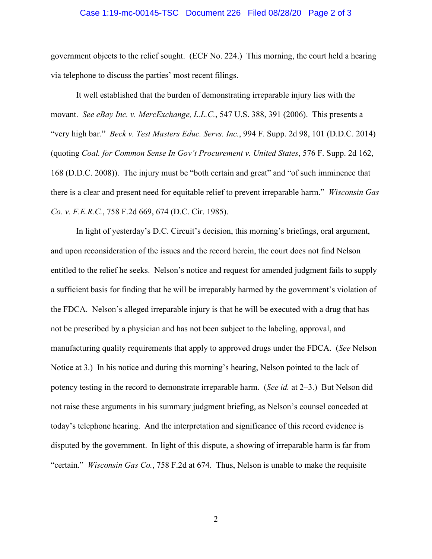## Case 1:19-mc-00145-TSC Document 226 Filed 08/28/20 Page 2 of 3

government objects to the relief sought. (ECF No. 224.) This morning, the court held a hearing via telephone to discuss the parties' most recent filings.

It well established that the burden of demonstrating irreparable injury lies with the movant. *See eBay Inc. v. MercExchange, L.L.C.*, 547 U.S. 388, 391 (2006). This presents a "very high bar." *Beck v. Test Masters Educ. Servs. Inc.*, 994 F. Supp. 2d 98, 101 (D.D.C. 2014) (quoting *Coal. for Common Sense In Gov't Procurement v. United States*, 576 F. Supp. 2d 162, 168 (D.D.C. 2008)). The injury must be "both certain and great" and "of such imminence that there is a clear and present need for equitable relief to prevent irreparable harm." *Wisconsin Gas Co. v. F.E.R.C.*, 758 F.2d 669, 674 (D.C. Cir. 1985).

In light of yesterday's D.C. Circuit's decision, this morning's briefings, oral argument, and upon reconsideration of the issues and the record herein, the court does not find Nelson entitled to the relief he seeks. Nelson's notice and request for amended judgment fails to supply a sufficient basis for finding that he will be irreparably harmed by the government's violation of the FDCA. Nelson's alleged irreparable injury is that he will be executed with a drug that has not be prescribed by a physician and has not been subject to the labeling, approval, and manufacturing quality requirements that apply to approved drugs under the FDCA. (*See* Nelson Notice at 3.) In his notice and during this morning's hearing, Nelson pointed to the lack of potency testing in the record to demonstrate irreparable harm. (*See id.* at 2–3.) But Nelson did not raise these arguments in his summary judgment briefing, as Nelson's counsel conceded at today's telephone hearing. And the interpretation and significance of this record evidence is disputed by the government. In light of this dispute, a showing of irreparable harm is far from "certain." *Wisconsin Gas Co.*, 758 F.2d at 674. Thus, Nelson is unable to make the requisite